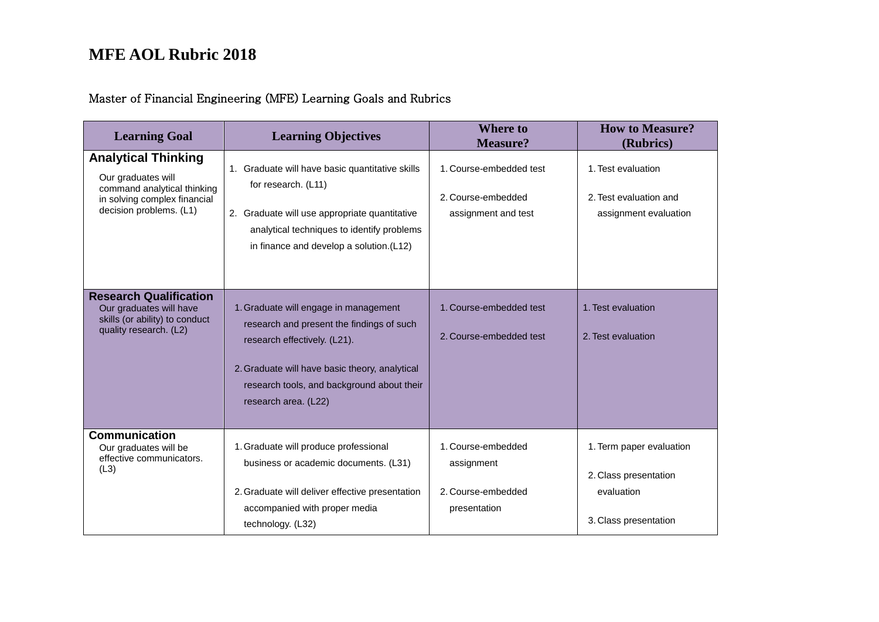#### Master of Financial Engineering (MFE) Learning Goals and Rubrics

| <b>Learning Goal</b>                                                                                                                       | <b>Learning Objectives</b>                                                                                                                                                                                                                 | <b>Where to</b><br><b>Measure?</b>                                     | <b>How to Measure?</b><br>(Rubrics)                                                      |
|--------------------------------------------------------------------------------------------------------------------------------------------|--------------------------------------------------------------------------------------------------------------------------------------------------------------------------------------------------------------------------------------------|------------------------------------------------------------------------|------------------------------------------------------------------------------------------|
| <b>Analytical Thinking</b><br>Our graduates will<br>command analytical thinking<br>in solving complex financial<br>decision problems. (L1) | 1. Graduate will have basic quantitative skills<br>for research. (L11)<br>2. Graduate will use appropriate quantitative<br>analytical techniques to identify problems<br>in finance and develop a solution.(L12)                           | 1. Course-embedded test<br>2. Course-embedded<br>assignment and test   | 1. Test evaluation<br>2. Test evaluation and<br>assignment evaluation                    |
| <b>Research Qualification</b><br>Our graduates will have<br>skills (or ability) to conduct<br>quality research. (L2)                       | 1. Graduate will engage in management<br>research and present the findings of such<br>research effectively. (L21).<br>2. Graduate will have basic theory, analytical<br>research tools, and background about their<br>research area. (L22) | 1. Course-embedded test<br>2. Course-embedded test                     | 1. Test evaluation<br>2. Test evaluation                                                 |
| <b>Communication</b><br>Our graduates will be<br>effective communicators.<br>(L3)                                                          | 1. Graduate will produce professional<br>business or academic documents. (L31)<br>2. Graduate will deliver effective presentation<br>accompanied with proper media<br>technology. (L32)                                                    | 1. Course-embedded<br>assignment<br>2. Course-embedded<br>presentation | 1. Term paper evaluation<br>2. Class presentation<br>evaluation<br>3. Class presentation |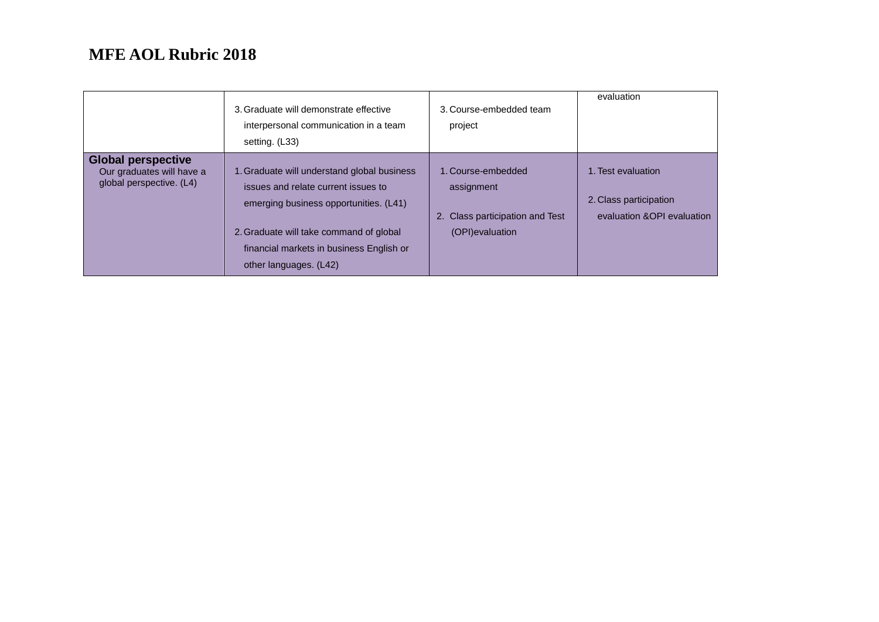|                                                                                    | 3. Graduate will demonstrate effective<br>interpersonal communication in a team<br>setting. (L33)                                                                                                                                             | 3. Course-embedded team<br>project                                                      | evaluation                                                                  |
|------------------------------------------------------------------------------------|-----------------------------------------------------------------------------------------------------------------------------------------------------------------------------------------------------------------------------------------------|-----------------------------------------------------------------------------------------|-----------------------------------------------------------------------------|
| <b>Global perspective</b><br>Our graduates will have a<br>global perspective. (L4) | 1. Graduate will understand global business<br>issues and relate current issues to<br>emerging business opportunities. (L41)<br>2. Graduate will take command of global<br>financial markets in business English or<br>other languages. (L42) | 1. Course-embedded<br>assignment<br>2. Class participation and Test<br>(OPI) evaluation | 1. Test evaluation<br>2. Class participation<br>evaluation & OPI evaluation |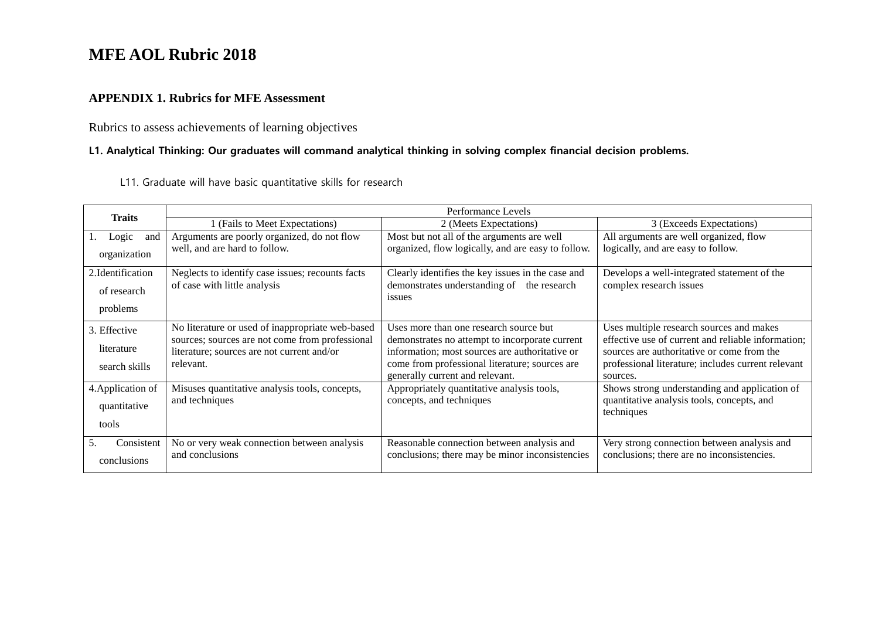#### **APPENDIX 1. Rubrics for MFE Assessment**

Rubrics to assess achievements of learning objectives

#### **L1. Analytical Thinking: Our graduates will command analytical thinking in solving complex financial decision problems.**

L11. Graduate will have basic quantitative skills for research

| <b>Traits</b>                | Performance Levels                                                                                  |                                                                                                  |                                                                                                |
|------------------------------|-----------------------------------------------------------------------------------------------------|--------------------------------------------------------------------------------------------------|------------------------------------------------------------------------------------------------|
|                              | 1 (Fails to Meet Expectations)                                                                      | 2 (Meets Expectations)                                                                           | 3 (Exceeds Expectations)                                                                       |
| Logic<br>and<br>organization | Arguments are poorly organized, do not flow<br>well, and are hard to follow.                        | Most but not all of the arguments are well<br>organized, flow logically, and are easy to follow. | All arguments are well organized, flow<br>logically, and are easy to follow.                   |
|                              |                                                                                                     |                                                                                                  |                                                                                                |
| 2. Identification            | Neglects to identify case issues; recounts facts                                                    | Clearly identifies the key issues in the case and                                                | Develops a well-integrated statement of the                                                    |
| of research                  | of case with little analysis                                                                        | demonstrates understanding of the research<br><i>issues</i>                                      | complex research issues                                                                        |
| problems                     |                                                                                                     |                                                                                                  |                                                                                                |
| 3. Effective                 | No literature or used of inappropriate web-based<br>sources; sources are not come from professional | Uses more than one research source but<br>demonstrates no attempt to incorporate current         | Uses multiple research sources and makes<br>effective use of current and reliable information; |
| literature                   | literature; sources are not current and/or                                                          | information; most sources are authoritative or                                                   | sources are authoritative or come from the                                                     |
| search skills                | relevant.                                                                                           | come from professional literature; sources are<br>generally current and relevant.                | professional literature; includes current relevant<br>sources.                                 |
| 4. Application of            | Misuses quantitative analysis tools, concepts,                                                      | Appropriately quantitative analysis tools,                                                       | Shows strong understanding and application of                                                  |
| quantitative                 | and techniques                                                                                      | concepts, and techniques                                                                         | quantitative analysis tools, concepts, and<br>techniques                                       |
| tools                        |                                                                                                     |                                                                                                  |                                                                                                |
| Consistent                   | No or very weak connection between analysis                                                         | Reasonable connection between analysis and                                                       | Very strong connection between analysis and                                                    |
| conclusions                  | and conclusions                                                                                     | conclusions; there may be minor inconsistencies                                                  | conclusions; there are no inconsistencies.                                                     |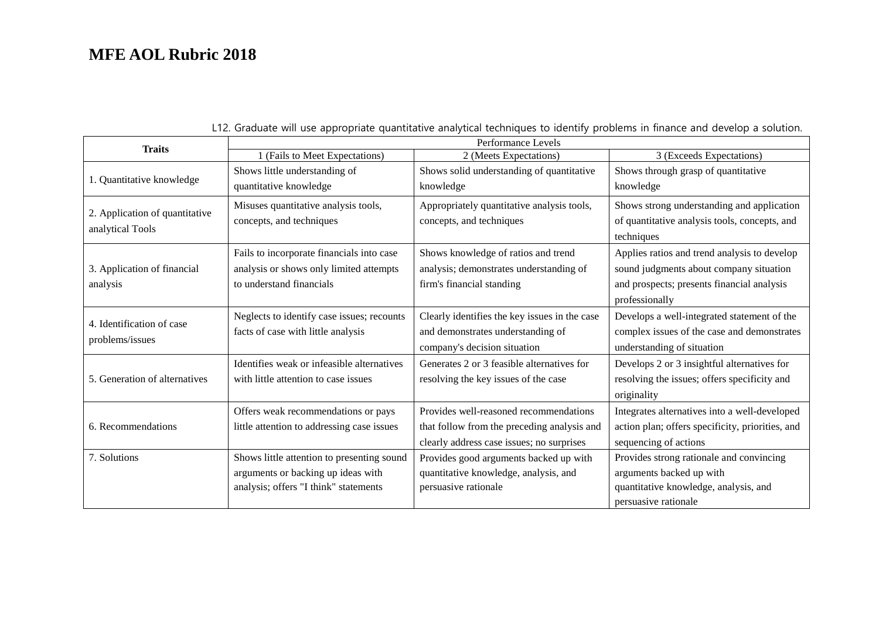| <b>Traits</b>                  | Performance Levels                         |                                               |                                                  |
|--------------------------------|--------------------------------------------|-----------------------------------------------|--------------------------------------------------|
|                                | 1 (Fails to Meet Expectations)             | 2 (Meets Expectations)                        | 3 (Exceeds Expectations)                         |
|                                | Shows little understanding of              | Shows solid understanding of quantitative     | Shows through grasp of quantitative              |
| 1. Quantitative knowledge      | quantitative knowledge                     | knowledge                                     | knowledge                                        |
| 2. Application of quantitative | Misuses quantitative analysis tools,       | Appropriately quantitative analysis tools,    | Shows strong understanding and application       |
| analytical Tools               | concepts, and techniques                   | concepts, and techniques                      | of quantitative analysis tools, concepts, and    |
|                                |                                            |                                               | techniques                                       |
|                                | Fails to incorporate financials into case  | Shows knowledge of ratios and trend           | Applies ratios and trend analysis to develop     |
| 3. Application of financial    | analysis or shows only limited attempts    | analysis; demonstrates understanding of       | sound judgments about company situation          |
| analysis                       | to understand financials                   | firm's financial standing                     | and prospects; presents financial analysis       |
|                                |                                            |                                               | professionally                                   |
| 4. Identification of case      | Neglects to identify case issues; recounts | Clearly identifies the key issues in the case | Develops a well-integrated statement of the      |
| problems/issues                | facts of case with little analysis         | and demonstrates understanding of             | complex issues of the case and demonstrates      |
|                                |                                            | company's decision situation                  | understanding of situation                       |
|                                | Identifies weak or infeasible alternatives | Generates 2 or 3 feasible alternatives for    | Develops 2 or 3 insightful alternatives for      |
| 5. Generation of alternatives  | with little attention to case issues       | resolving the key issues of the case          | resolving the issues; offers specificity and     |
|                                |                                            |                                               | originality                                      |
|                                | Offers weak recommendations or pays        | Provides well-reasoned recommendations        | Integrates alternatives into a well-developed    |
| 6. Recommendations             | little attention to addressing case issues | that follow from the preceding analysis and   | action plan; offers specificity, priorities, and |
|                                |                                            | clearly address case issues; no surprises     | sequencing of actions                            |
| 7. Solutions                   | Shows little attention to presenting sound | Provides good arguments backed up with        | Provides strong rationale and convincing         |
|                                | arguments or backing up ideas with         | quantitative knowledge, analysis, and         | arguments backed up with                         |
|                                | analysis; offers "I think" statements      | persuasive rationale                          | quantitative knowledge, analysis, and            |
|                                |                                            |                                               | persuasive rationale                             |

L12. Graduate will use appropriate quantitative analytical techniques to identify problems in finance and develop a solution.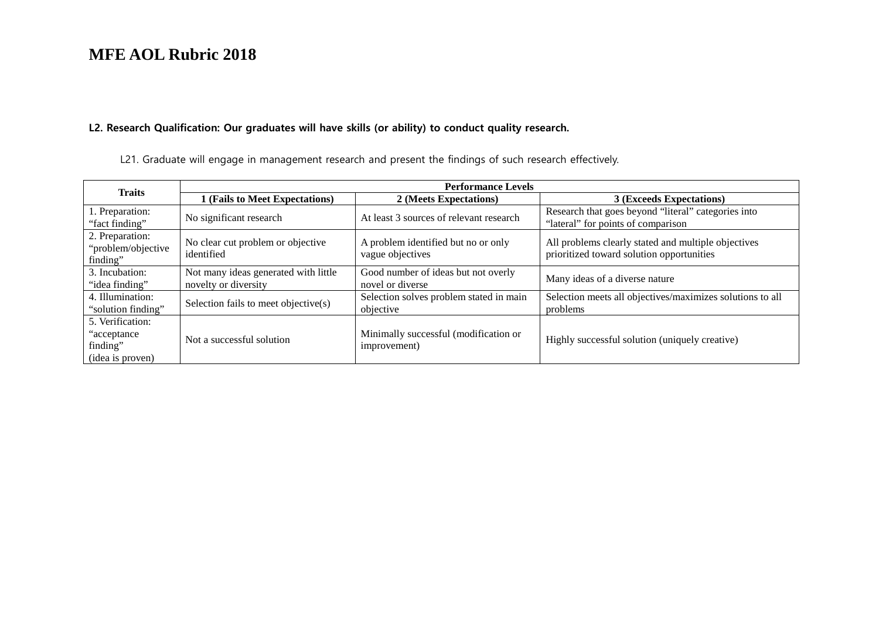#### **L2. Research Qualification: Our graduates will have skills (or ability) to conduct quality research.**

L21. Graduate will engage in management research and present the findings of such research effectively.

| <b>Traits</b>                                                    | <b>Performance Levels</b>                                    |                                                         |                                                                                                  |  |
|------------------------------------------------------------------|--------------------------------------------------------------|---------------------------------------------------------|--------------------------------------------------------------------------------------------------|--|
|                                                                  | 1 (Fails to Meet Expectations)                               | 2 (Meets Expectations)                                  | 3 (Exceeds Expectations)                                                                         |  |
| 1. Preparation:<br>"fact finding"                                | No significant research                                      | At least 3 sources of relevant research                 | Research that goes beyond "literal" categories into<br>"lateral" for points of comparison        |  |
| 2. Preparation:<br>"problem/objective<br>finding"                | No clear cut problem or objective<br>identified              | A problem identified but no or only<br>vague objectives | All problems clearly stated and multiple objectives<br>prioritized toward solution opportunities |  |
| 3. Incubation:<br>"idea finding"                                 | Not many ideas generated with little<br>novelty or diversity | Good number of ideas but not overly<br>novel or diverse | Many ideas of a diverse nature                                                                   |  |
| 4. Illumination:<br>"solution finding"                           | Selection fails to meet objective(s)                         | Selection solves problem stated in main<br>objective    | Selection meets all objectives/maximizes solutions to all<br>problems                            |  |
| 5. Verification:<br>"acceptance"<br>finding"<br>(idea is proven) | Not a successful solution                                    | Minimally successful (modification or<br>improvement)   | Highly successful solution (uniquely creative)                                                   |  |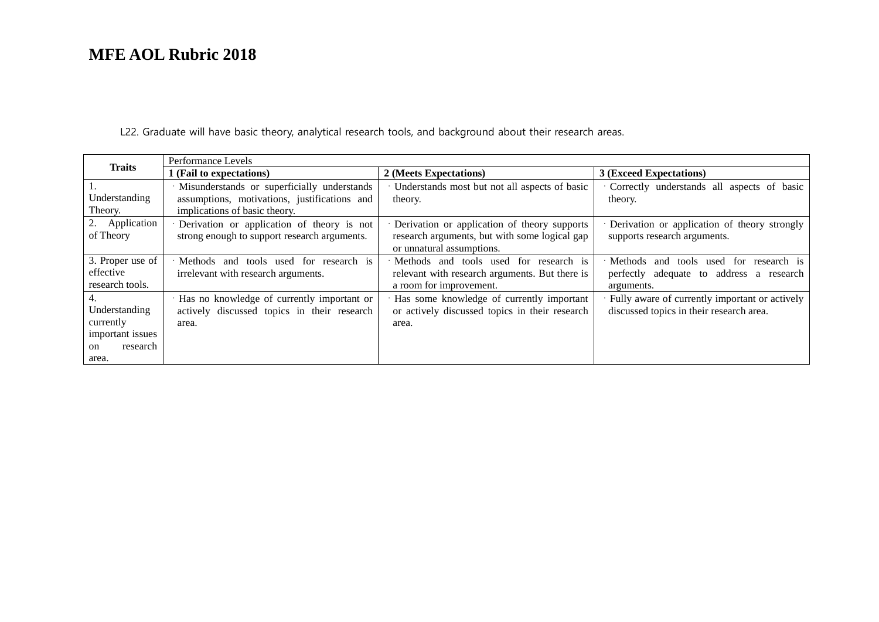L22. Graduate will have basic theory, analytical research tools, and background about their research areas.

| <b>Traits</b>                                                                   | Performance Levels                                                                                                             |                                                                                                                            |                                                                                                     |
|---------------------------------------------------------------------------------|--------------------------------------------------------------------------------------------------------------------------------|----------------------------------------------------------------------------------------------------------------------------|-----------------------------------------------------------------------------------------------------|
|                                                                                 | 1 (Fail to expectations)                                                                                                       | 2 (Meets Expectations)                                                                                                     | 3 (Exceed Expectations)                                                                             |
| Understanding<br>Theory.                                                        | · Misunderstands or superficially understands<br>assumptions, motivations, justifications and<br>implications of basic theory. | · Understands most but not all aspects of basic<br>theory.                                                                 | Correctly understands all aspects of basic<br>theory.                                               |
| 2. Application<br>of Theory                                                     | · Derivation or application of theory is not<br>strong enough to support research arguments.                                   | Derivation or application of theory supports<br>research arguments, but with some logical gap<br>or unnatural assumptions. | Derivation or application of theory strongly<br>supports research arguments.                        |
| 3. Proper use of<br>effective<br>research tools.                                | tools used for research is<br>· Methods and<br>irrelevant with research arguments.                                             | · Methods and tools used for research is<br>relevant with research arguments. But there is<br>a room for improvement.      | and tools used for research is<br>Methods<br>perfectly adequate to address a research<br>arguments. |
| 4.<br>Understanding<br>currently<br>important issues<br>research<br>on<br>area. | · Has no knowledge of currently important or<br>actively discussed topics in their research<br>area.                           | Has some knowledge of currently important<br>or actively discussed topics in their research<br>area.                       | Fully aware of currently important or actively<br>discussed topics in their research area.          |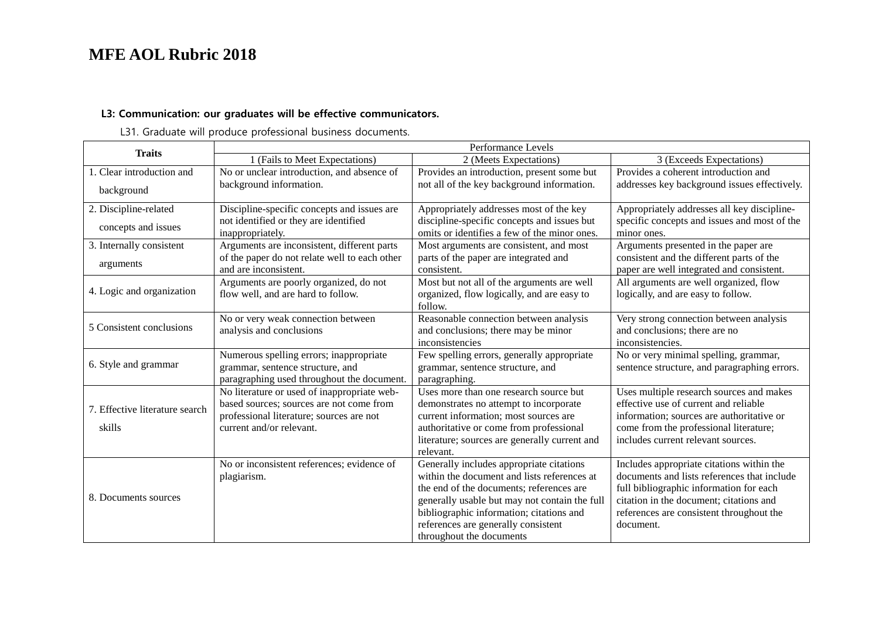#### **L3: Communication: our graduates will be effective communicators.**

L31. Graduate will produce professional business documents.

|                                              | Performance Levels                                                                                                                                              |                                                                                                                                                                                                                                                                                                     |                                                                                                                                                                                                                                         |
|----------------------------------------------|-----------------------------------------------------------------------------------------------------------------------------------------------------------------|-----------------------------------------------------------------------------------------------------------------------------------------------------------------------------------------------------------------------------------------------------------------------------------------------------|-----------------------------------------------------------------------------------------------------------------------------------------------------------------------------------------------------------------------------------------|
| <b>Traits</b>                                | 1 (Fails to Meet Expectations)                                                                                                                                  | 2 (Meets Expectations)                                                                                                                                                                                                                                                                              | 3 (Exceeds Expectations)                                                                                                                                                                                                                |
| 1. Clear introduction and                    | No or unclear introduction, and absence of                                                                                                                      | Provides an introduction, present some but                                                                                                                                                                                                                                                          | Provides a coherent introduction and                                                                                                                                                                                                    |
| background                                   | background information.                                                                                                                                         | not all of the key background information.                                                                                                                                                                                                                                                          | addresses key background issues effectively.                                                                                                                                                                                            |
| 2. Discipline-related<br>concepts and issues | Discipline-specific concepts and issues are<br>not identified or they are identified<br>inappropriately.                                                        | Appropriately addresses most of the key<br>discipline-specific concepts and issues but<br>omits or identifies a few of the minor ones.                                                                                                                                                              | Appropriately addresses all key discipline-<br>specific concepts and issues and most of the<br>minor ones.                                                                                                                              |
| 3. Internally consistent<br>arguments        | Arguments are inconsistent, different parts<br>of the paper do not relate well to each other<br>and are inconsistent.                                           | Most arguments are consistent, and most<br>parts of the paper are integrated and<br>consistent.                                                                                                                                                                                                     | Arguments presented in the paper are<br>consistent and the different parts of the<br>paper are well integrated and consistent.                                                                                                          |
| 4. Logic and organization                    | Arguments are poorly organized, do not<br>flow well, and are hard to follow.                                                                                    | Most but not all of the arguments are well<br>organized, flow logically, and are easy to<br>follow.                                                                                                                                                                                                 | All arguments are well organized, flow<br>logically, and are easy to follow.                                                                                                                                                            |
| 5 Consistent conclusions                     | No or very weak connection between<br>analysis and conclusions                                                                                                  | Reasonable connection between analysis<br>and conclusions; there may be minor<br>inconsistencies                                                                                                                                                                                                    | Very strong connection between analysis<br>and conclusions; there are no<br>inconsistencies.                                                                                                                                            |
| 6. Style and grammar                         | Numerous spelling errors; inappropriate<br>grammar, sentence structure, and<br>paragraphing used throughout the document.                                       | Few spelling errors, generally appropriate<br>grammar, sentence structure, and<br>paragraphing.                                                                                                                                                                                                     | No or very minimal spelling, grammar,<br>sentence structure, and paragraphing errors.                                                                                                                                                   |
| 7. Effective literature search<br>skills     | No literature or used of inappropriate web-<br>based sources; sources are not come from<br>professional literature; sources are not<br>current and/or relevant. | Uses more than one research source but<br>demonstrates no attempt to incorporate<br>current information; most sources are<br>authoritative or come from professional<br>literature; sources are generally current and<br>relevant.                                                                  | Uses multiple research sources and makes<br>effective use of current and reliable<br>information; sources are authoritative or<br>come from the professional literature;<br>includes current relevant sources.                          |
| 8. Documents sources                         | No or inconsistent references; evidence of<br>plagiarism.                                                                                                       | Generally includes appropriate citations<br>within the document and lists references at<br>the end of the documents; references are<br>generally usable but may not contain the full<br>bibliographic information; citations and<br>references are generally consistent<br>throughout the documents | Includes appropriate citations within the<br>documents and lists references that include<br>full bibliographic information for each<br>citation in the document; citations and<br>references are consistent throughout the<br>document. |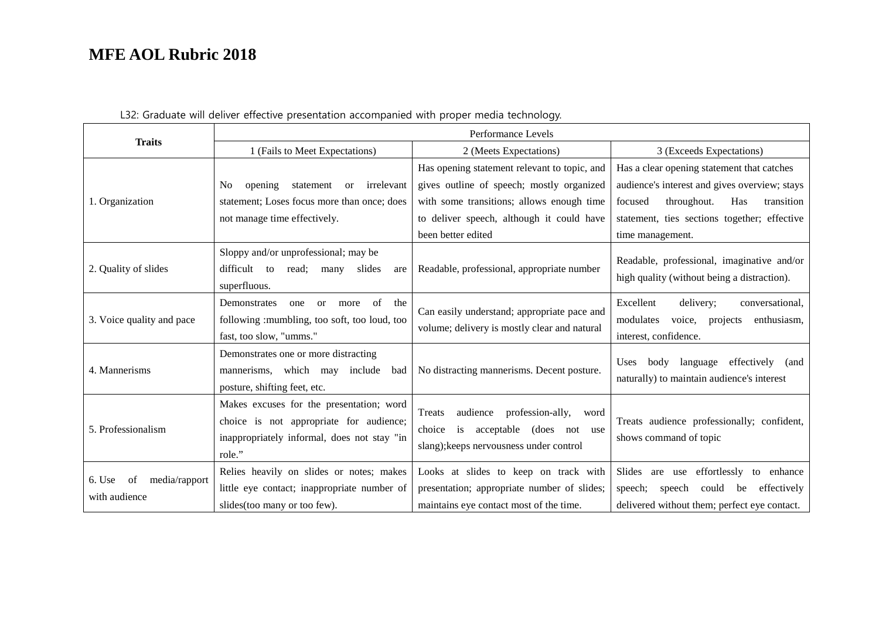|                                                | Performance Levels                                                                                                                           |                                                                                                                                                                                                           |                                                                                                                                                                                                                |  |
|------------------------------------------------|----------------------------------------------------------------------------------------------------------------------------------------------|-----------------------------------------------------------------------------------------------------------------------------------------------------------------------------------------------------------|----------------------------------------------------------------------------------------------------------------------------------------------------------------------------------------------------------------|--|
| <b>Traits</b>                                  | 1 (Fails to Meet Expectations)                                                                                                               | 2 (Meets Expectations)                                                                                                                                                                                    | 3 (Exceeds Expectations)                                                                                                                                                                                       |  |
| 1. Organization                                | statement or irrelevant<br>opening<br>N <sub>0</sub><br>statement; Loses focus more than once; does<br>not manage time effectively.          | Has opening statement relevant to topic, and<br>gives outline of speech; mostly organized<br>with some transitions; allows enough time<br>to deliver speech, although it could have<br>been better edited | Has a clear opening statement that catches<br>audience's interest and gives overview; stays<br>throughout.<br>Has<br>focused<br>transition<br>statement, ties sections together; effective<br>time management. |  |
| 2. Quality of slides                           | Sloppy and/or unprofessional; may be<br>difficult to<br>slides<br>read:<br>many<br>are<br>superfluous.                                       | Readable, professional, appropriate number                                                                                                                                                                | Readable, professional, imaginative and/or<br>high quality (without being a distraction).                                                                                                                      |  |
| 3. Voice quality and pace                      | of the<br>Demonstrates<br>one<br><sub>or</sub><br>more<br>following : mumbling, too soft, too loud, too<br>fast, too slow, "umms."           | Can easily understand; appropriate pace and<br>volume; delivery is mostly clear and natural                                                                                                               | Excellent<br>delivery;<br>conversational,<br>enthusiasm,<br>modulates<br>voice, projects<br>interest, confidence.                                                                                              |  |
| 4. Mannerisms                                  | Demonstrates one or more distracting<br>mannerisms, which may include<br>bad<br>posture, shifting feet, etc.                                 | No distracting mannerisms. Decent posture.                                                                                                                                                                | Uses body language effectively (and<br>naturally) to maintain audience's interest                                                                                                                              |  |
| 5. Professionalism                             | Makes excuses for the presentation; word<br>choice is not appropriate for audience;<br>inappropriately informal, does not stay "in<br>role." | audience profession-ally,<br>Treats<br>word<br>choice is acceptable (does not use<br>slang); keeps nervousness under control                                                                              | Treats audience professionally; confident,<br>shows command of topic                                                                                                                                           |  |
| media/rapport<br>6. Use<br>of<br>with audience | Relies heavily on slides or notes; makes<br>little eye contact; inappropriate number of<br>slides(too many or too few).                      | Looks at slides to keep on track with<br>presentation; appropriate number of slides;<br>maintains eye contact most of the time.                                                                           | Slides are use effortlessly to enhance<br>speech;<br>speech could be effectively<br>delivered without them; perfect eye contact.                                                                               |  |

#### L32: Graduate will deliver effective presentation accompanied with proper media technology.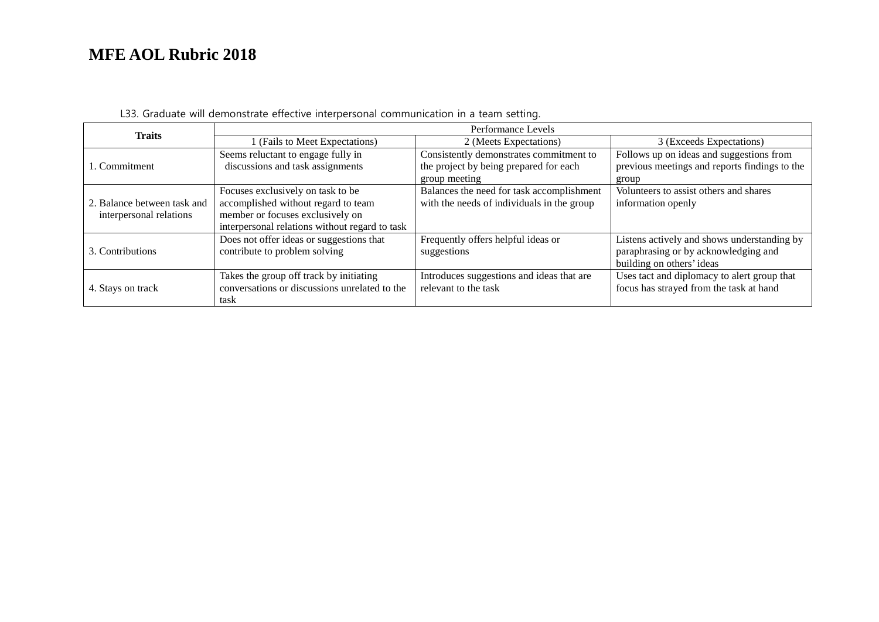| <b>Traits</b>               | Performance Levels                             |                                            |                                               |
|-----------------------------|------------------------------------------------|--------------------------------------------|-----------------------------------------------|
|                             | (Fails to Meet Expectations)                   | 2 (Meets Expectations)                     | 3 (Exceeds Expectations)                      |
|                             | Seems reluctant to engage fully in             | Consistently demonstrates commitment to    | Follows up on ideas and suggestions from      |
| 1. Commitment               | discussions and task assignments               | the project by being prepared for each     | previous meetings and reports findings to the |
|                             |                                                | group meeting                              | group                                         |
|                             | Focuses exclusively on task to be              | Balances the need for task accomplishment  | Volunteers to assist others and shares        |
| 2. Balance between task and | accomplished without regard to team            | with the needs of individuals in the group | information openly                            |
| interpersonal relations     | member or focuses exclusively on               |                                            |                                               |
|                             | interpersonal relations without regard to task |                                            |                                               |
|                             | Does not offer ideas or suggestions that       | Frequently offers helpful ideas or         | Listens actively and shows understanding by   |
| 3. Contributions            | contribute to problem solving                  | suggestions                                | paraphrasing or by acknowledging and          |
|                             |                                                |                                            | building on others' ideas                     |
|                             | Takes the group off track by initiating        | Introduces suggestions and ideas that are  | Uses tact and diplomacy to alert group that   |
| 4. Stays on track           | conversations or discussions unrelated to the  | relevant to the task                       | focus has strayed from the task at hand       |
|                             | task                                           |                                            |                                               |

#### L33. Graduate will demonstrate effective interpersonal communication in a team setting.